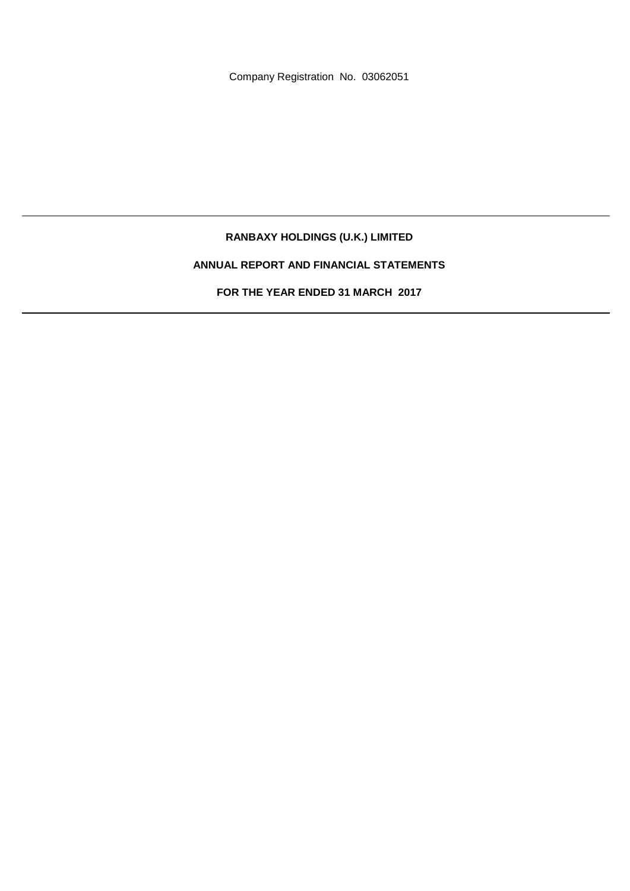Company Registration No. 03062051

# **RANBAXY HOLDINGS (U.K.) LIMITED**

# **ANNUAL REPORT AND FINANCIAL STATEMENTS**

**FOR THE YEAR ENDED 31 MARCH 2017**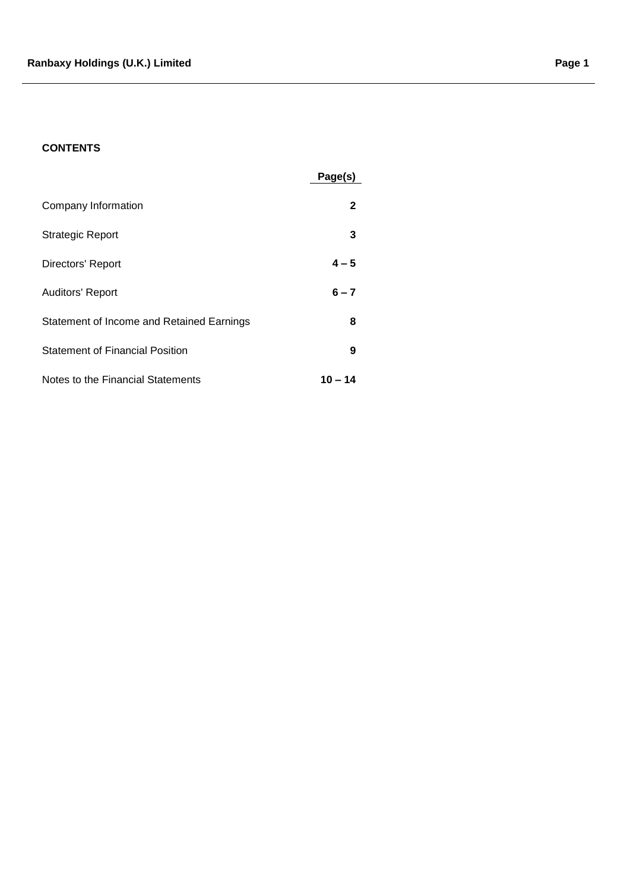# **CONTENTS**

|                                           | Page(s)   |
|-------------------------------------------|-----------|
| Company Information                       | 2         |
| <b>Strategic Report</b>                   | 3         |
| Directors' Report                         | $4 - 5$   |
| Auditors' Report                          | $6 - 7$   |
| Statement of Income and Retained Earnings | 8         |
| <b>Statement of Financial Position</b>    | 9         |
| Notes to the Financial Statements         | $10 - 14$ |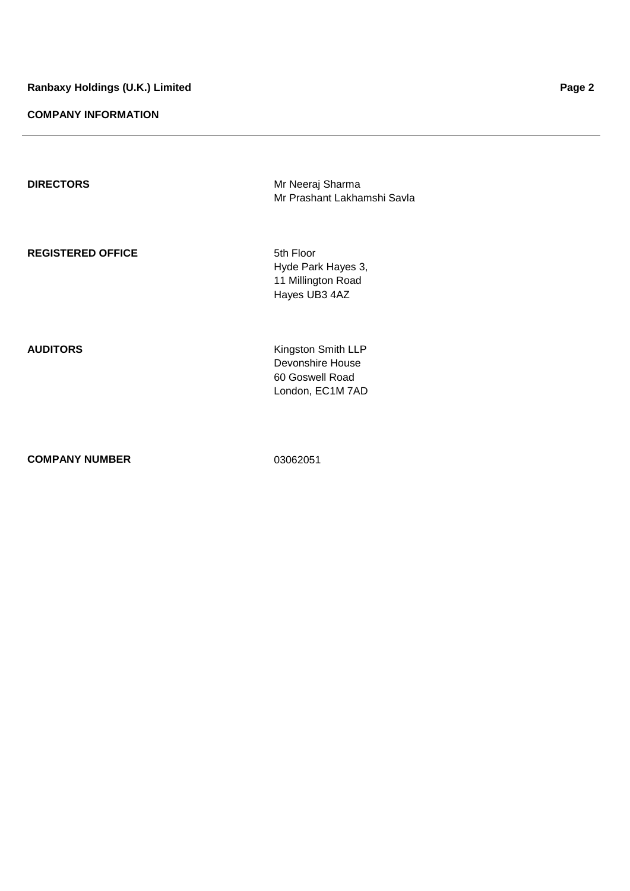# **COMPANY INFORMATION**

| <b>DIRECTORS</b>         | Mr Neeraj Sharma<br>Mr Prashant Lakhamshi Savla                               |
|--------------------------|-------------------------------------------------------------------------------|
| <b>REGISTERED OFFICE</b> | 5th Floor<br>Hyde Park Hayes 3,<br>11 Millington Road<br>Hayes UB3 4AZ        |
| <b>AUDITORS</b>          | Kingston Smith LLP<br>Devonshire House<br>60 Goswell Road<br>London, EC1M 7AD |

**COMPANY NUMBER** 03062051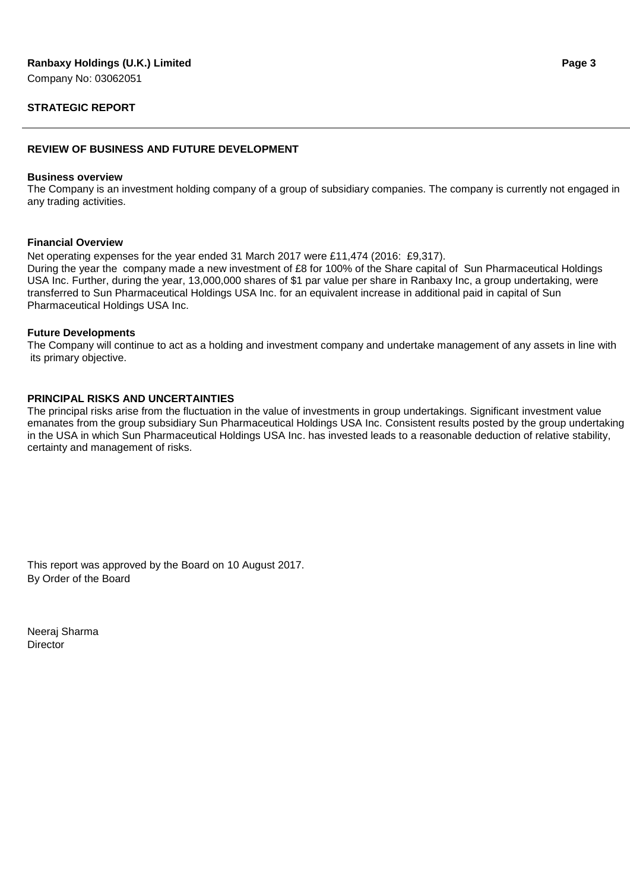Company No: 03062051

# **STRATEGIC REPORT**

# **REVIEW OF BUSINESS AND FUTURE DEVELOPMENT**

### **Business overview**

The Company is an investment holding company of a group of subsidiary companies. The company is currently not engaged in any trading activities.

# **Financial Overview**

Net operating expenses for the year ended 31 March 2017 were £11,474 (2016: £9,317). During the year the company made a new investment of £8 for 100% of the Share capital of Sun Pharmaceutical Holdings USA Inc. Further, during the year, 13,000,000 shares of \$1 par value per share in Ranbaxy Inc, a group undertaking, were transferred to Sun Pharmaceutical Holdings USA Inc. for an equivalent increase in additional paid in capital of Sun Pharmaceutical Holdings USA Inc.

### **Future Developments**

The Company will continue to act as a holding and investment company and undertake management of any assets in line with its primary objective.

# **PRINCIPAL RISKS AND UNCERTAINTIES**

The principal risks arise from the fluctuation in the value of investments in group undertakings. Significant investment value emanates from the group subsidiary Sun Pharmaceutical Holdings USA Inc. Consistent results posted by the group undertaking in the USA in which Sun Pharmaceutical Holdings USA Inc. has invested leads to a reasonable deduction of relative stability, certainty and management of risks.

This report was approved by the Board on 10 August 2017. By Order of the Board

Neeraj Sharma **Director**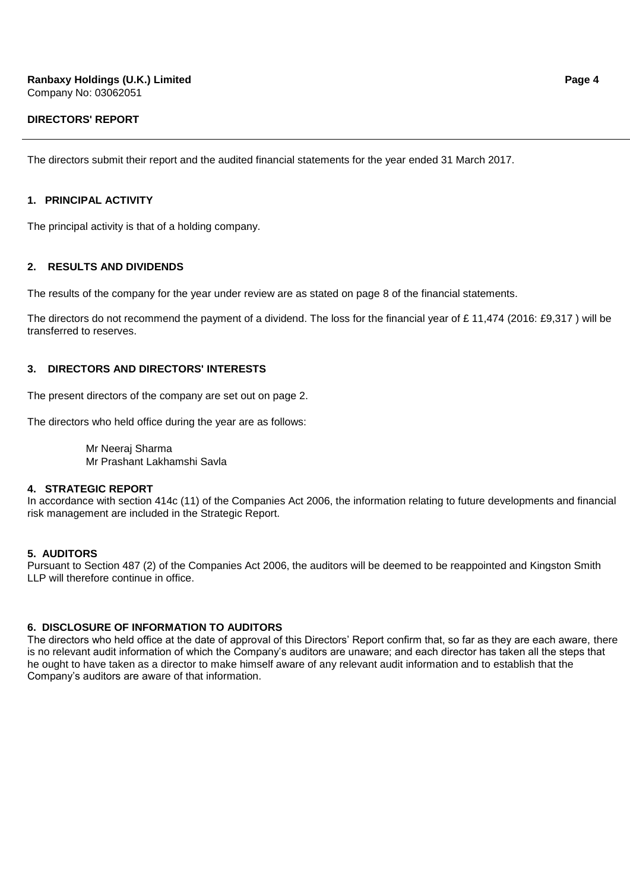# **DIRECTORS' REPORT**

The directors submit their report and the audited financial statements for the year ended 31 March 2017.

### **1. PRINCIPAL ACTIVITY**

The principal activity is that of a holding company.

### **2. RESULTS AND DIVIDENDS**

The results of the company for the year under review are as stated on page 8 of the financial statements.

The directors do not recommend the payment of a dividend. The loss for the financial year of £ 11,474 (2016: £9,317 ) will be transferred to reserves.

### **3. DIRECTORS AND DIRECTORS' INTERESTS**

The present directors of the company are set out on page 2.

The directors who held office during the year are as follows:

Mr Neeraj Sharma Mr Prashant Lakhamshi Savla

### **4. STRATEGIC REPORT**

In accordance with section 414c (11) of the Companies Act 2006, the information relating to future developments and financial risk management are included in the Strategic Report.

### **5. AUDITORS**

Pursuant to Section 487 (2) of the Companies Act 2006, the auditors will be deemed to be reappointed and Kingston Smith LLP will therefore continue in office.

# **6. DISCLOSURE OF INFORMATION TO AUDITORS**

The directors who held office at the date of approval of this Directors' Report confirm that, so far as they are each aware, there is no relevant audit information of which the Company's auditors are unaware; and each director has taken all the steps that he ought to have taken as a director to make himself aware of any relevant audit information and to establish that the Company's auditors are aware of that information.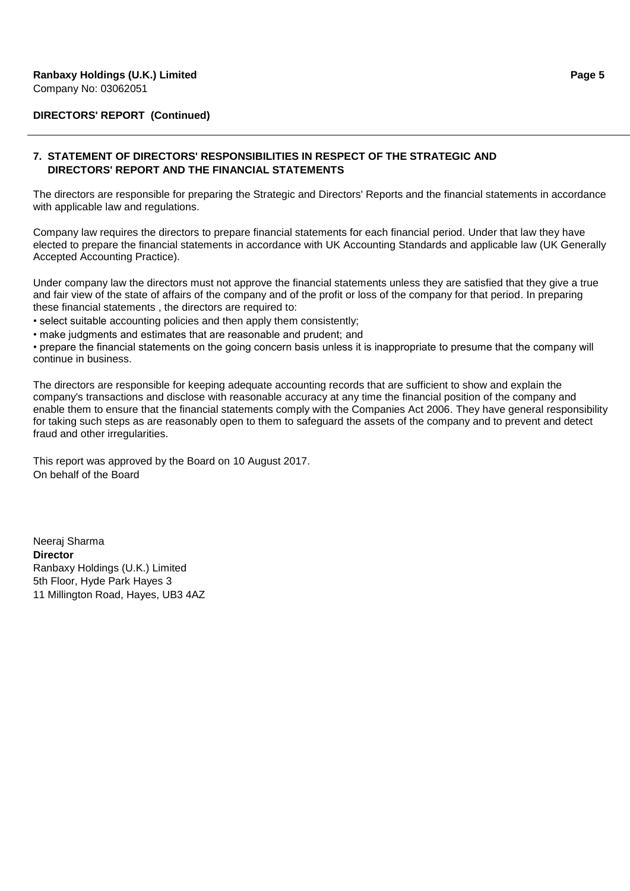# **DIRECTORS' REPORT (Continued)**

### **7. STATEMENT OF DIRECTORS' RESPONSIBILITIES IN RESPECT OF THE STRATEGIC AND DIRECTORS' REPORT AND THE FINANCIAL STATEMENTS**

The directors are responsible for preparing the Strategic and Directors' Reports and the financial statements in accordance with applicable law and regulations.

Company law requires the directors to prepare financial statements for each financial period. Under that law they have elected to prepare the financial statements in accordance with UK Accounting Standards and applicable law (UK Generally Accepted Accounting Practice).

Under company law the directors must not approve the financial statements unless they are satisfied that they give a true and fair view of the state of affairs of the company and of the profit or loss of the company for that period. In preparing these financial statements , the directors are required to:

• select suitable accounting policies and then apply them consistently;

• make judgments and estimates that are reasonable and prudent; and

• prepare the financial statements on the going concern basis unless it is inappropriate to presume that the company will continue in business.

The directors are responsible for keeping adequate accounting records that are sufficient to show and explain the company's transactions and disclose with reasonable accuracy at any time the financial position of the company and enable them to ensure that the financial statements comply with the Companies Act 2006. They have general responsibility for taking such steps as are reasonably open to them to safeguard the assets of the company and to prevent and detect fraud and other irregularities.

This report was approved by the Board on 10 August 2017. On behalf of the Board

Neeraj Sharma **Director** Ranbaxy Holdings (U.K.) Limited 5th Floor, Hyde Park Hayes 3 11 Millington Road, Hayes, UB3 4AZ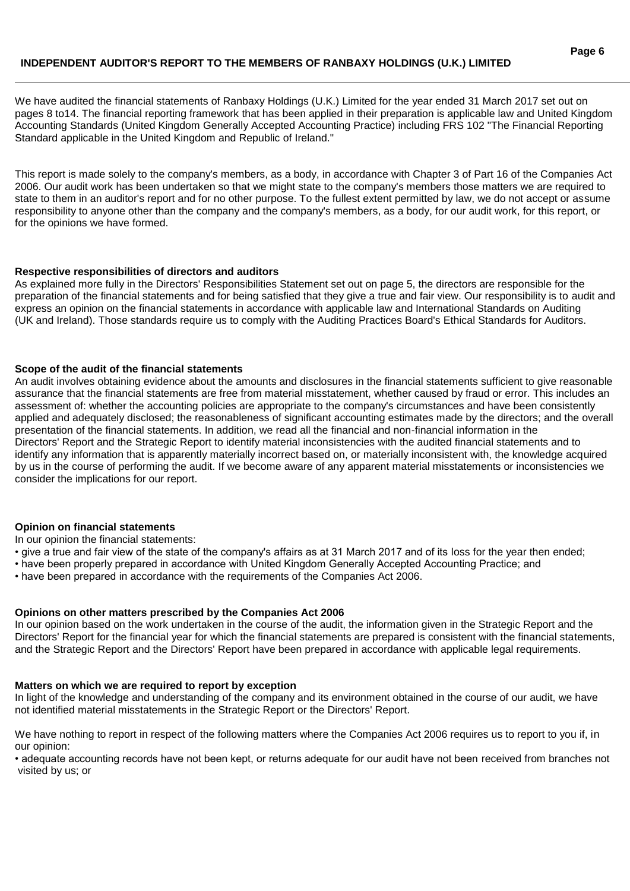We have audited the financial statements of Ranbaxy Holdings (U.K.) Limited for the year ended 31 March 2017 set out on pages 8 to14. The financial reporting framework that has been applied in their preparation is applicable law and United Kingdom Accounting Standards (United Kingdom Generally Accepted Accounting Practice) including FRS 102 "The Financial Reporting Standard applicable in the United Kingdom and Republic of Ireland."

This report is made solely to the company's members, as a body, in accordance with Chapter 3 of Part 16 of the Companies Act 2006. Our audit work has been undertaken so that we might state to the company's members those matters we are required to state to them in an auditor's report and for no other purpose. To the fullest extent permitted by law, we do not accept or assume responsibility to anyone other than the company and the company's members, as a body, for our audit work, for this report, or for the opinions we have formed.

# **Respective responsibilities of directors and auditors**

As explained more fully in the Directors' Responsibilities Statement set out on page 5, the directors are responsible for the preparation of the financial statements and for being satisfied that they give a true and fair view. Our responsibility is to audit and express an opinion on the financial statements in accordance with applicable law and International Standards on Auditing (UK and Ireland). Those standards require us to comply with the Auditing Practices Board's Ethical Standards for Auditors.

### **Scope of the audit of the financial statements**

An audit involves obtaining evidence about the amounts and disclosures in the financial statements sufficient to give reasonable assurance that the financial statements are free from material misstatement, whether caused by fraud or error. This includes an assessment of: whether the accounting policies are appropriate to the company's circumstances and have been consistently applied and adequately disclosed; the reasonableness of significant accounting estimates made by the directors; and the overall presentation of the financial statements. In addition, we read all the financial and non-financial information in the Directors' Report and the Strategic Report to identify material inconsistencies with the audited financial statements and to identify any information that is apparently materially incorrect based on, or materially inconsistent with, the knowledge acquired by us in the course of performing the audit. If we become aware of any apparent material misstatements or inconsistencies we consider the implications for our report.

### **Opinion on financial statements**

In our opinion the financial statements:

- give a true and fair view of the state of the company's affairs as at 31 March 2017 and of its loss for the year then ended;
- have been properly prepared in accordance with United Kingdom Generally Accepted Accounting Practice; and
- have been prepared in accordance with the requirements of the Companies Act 2006.

### **Opinions on other matters prescribed by the Companies Act 2006**

In our opinion based on the work undertaken in the course of the audit, the information given in the Strategic Report and the Directors' Report for the financial year for which the financial statements are prepared is consistent with the financial statements, and the Strategic Report and the Directors' Report have been prepared in accordance with applicable legal requirements.

### **Matters on which we are required to report by exception**

In light of the knowledge and understanding of the company and its environment obtained in the course of our audit, we have not identified material misstatements in the Strategic Report or the Directors' Report.

We have nothing to report in respect of the following matters where the Companies Act 2006 requires us to report to you if, in our opinion:

• adequate accounting records have not been kept, or returns adequate for our audit have not been received from branches not visited by us; or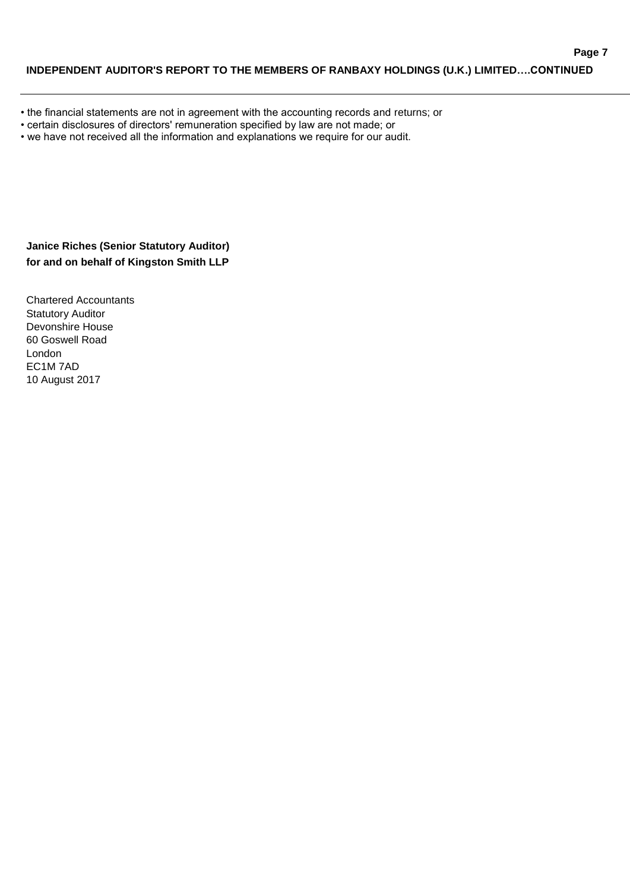- the financial statements are not in agreement with the accounting records and returns; or
- certain disclosures of directors' remuneration specified by law are not made; or
- we have not received all the information and explanations we require for our audit.

**Janice Riches (Senior Statutory Auditor) for and on behalf of Kingston Smith LLP**

Chartered Accountants Statutory Auditor Devonshire House 60 Goswell Road London EC1M 7AD 10 August 2017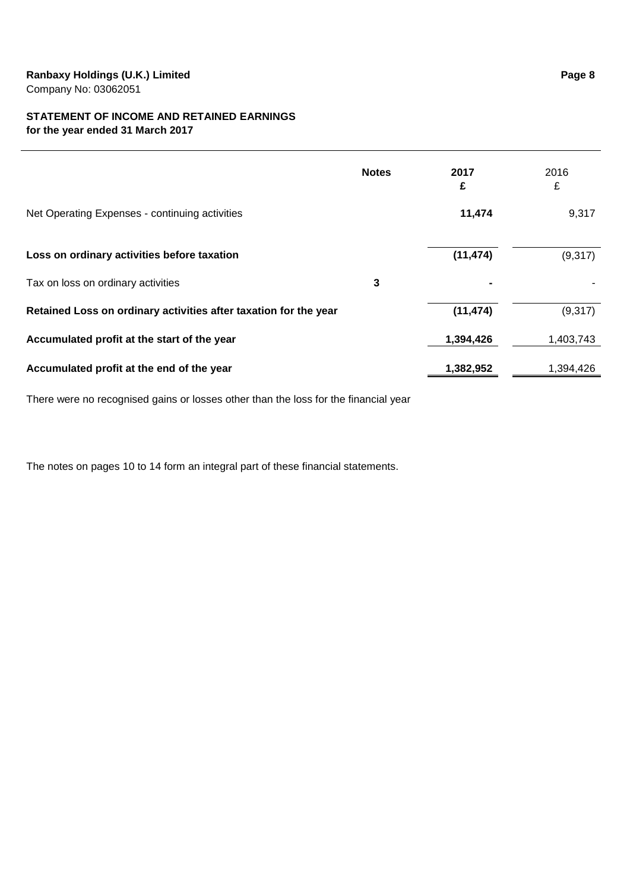# **STATEMENT OF INCOME AND RETAINED EARNINGS for the year ended 31 March 2017**

|                                                                  | <b>Notes</b> | 2017<br>£      | 2016<br>£ |
|------------------------------------------------------------------|--------------|----------------|-----------|
| Net Operating Expenses - continuing activities                   |              | 11,474         | 9,317     |
| Loss on ordinary activities before taxation                      |              | (11, 474)      | (9,317)   |
| Tax on loss on ordinary activities                               | 3            | $\blacksquare$ |           |
| Retained Loss on ordinary activities after taxation for the year |              | (11, 474)      | (9,317)   |
| Accumulated profit at the start of the year                      |              | 1,394,426      | 1,403,743 |
| Accumulated profit at the end of the year                        |              | 1,382,952      | 1,394,426 |

There were no recognised gains or losses other than the loss for the financial year

The notes on pages 10 to 14 form an integral part of these financial statements.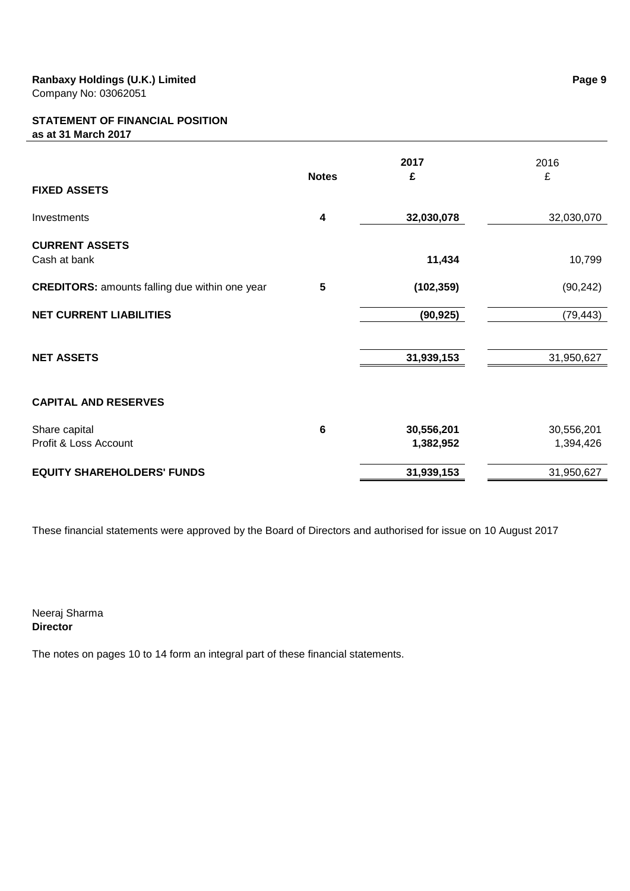# **STATEMENT OF FINANCIAL POSITION as at 31 March 2017**

| <b>FIXED ASSETS</b>                                   | <b>Notes</b> | 2017<br>£               | 2016<br>£               |
|-------------------------------------------------------|--------------|-------------------------|-------------------------|
| Investments                                           | 4            | 32,030,078              | 32,030,070              |
| <b>CURRENT ASSETS</b><br>Cash at bank                 |              | 11,434                  | 10,799                  |
| <b>CREDITORS:</b> amounts falling due within one year | 5            | (102, 359)              | (90, 242)               |
| <b>NET CURRENT LIABILITIES</b>                        |              | (90, 925)               | (79, 443)               |
| <b>NET ASSETS</b>                                     |              | 31,939,153              | 31,950,627              |
| <b>CAPITAL AND RESERVES</b>                           |              |                         |                         |
| Share capital<br>Profit & Loss Account                | 6            | 30,556,201<br>1,382,952 | 30,556,201<br>1,394,426 |
| <b>EQUITY SHAREHOLDERS' FUNDS</b>                     |              | 31,939,153              | 31,950,627              |

These financial statements were approved by the Board of Directors and authorised for issue on 10 August 2017

Neeraj Sharma **Director**

The notes on pages 10 to 14 form an integral part of these financial statements.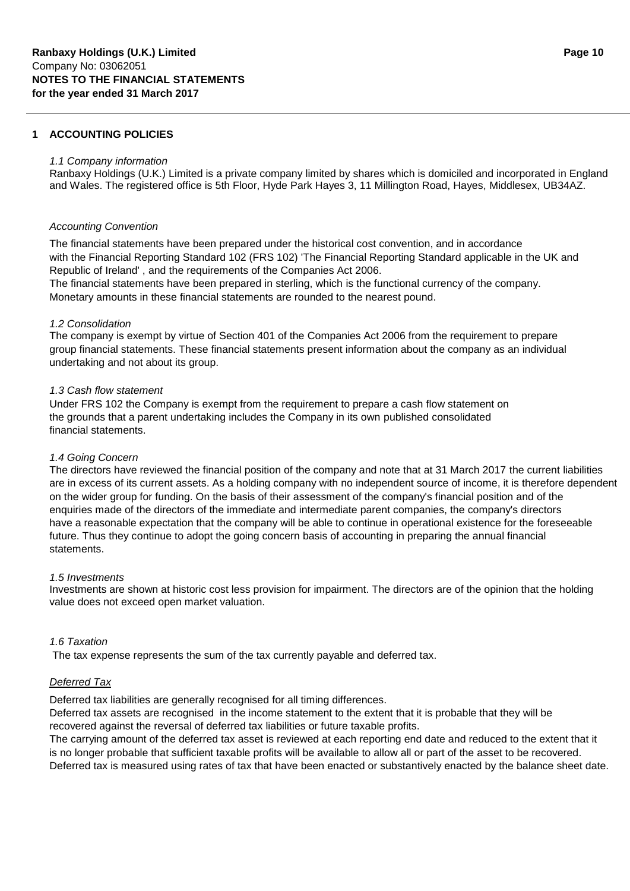### **1 ACCOUNTING POLICIES**

#### *1.1 Company information*

Ranbaxy Holdings (U.K.) Limited is a private company limited by shares which is domiciled and incorporated in England and Wales. The registered office is 5th Floor, Hyde Park Hayes 3, 11 Millington Road, Hayes, Middlesex, UB34AZ.

### *Accounting Convention*

The financial statements have been prepared under the historical cost convention, and in accordance with the Financial Reporting Standard 102 (FRS 102) 'The Financial Reporting Standard applicable in the UK and Republic of Ireland' , and the requirements of the Companies Act 2006.

The financial statements have been prepared in sterling, which is the functional currency of the company. Monetary amounts in these financial statements are rounded to the nearest pound.

#### *1.2 Consolidation*

The company is exempt by virtue of Section 401 of the Companies Act 2006 from the requirement to prepare group financial statements. These financial statements present information about the company as an individual undertaking and not about its group.

#### *1.3 Cash flow statement*

Under FRS 102 the Company is exempt from the requirement to prepare a cash flow statement on the grounds that a parent undertaking includes the Company in its own published consolidated financial statements.

### *1.4 Going Concern*

The directors have reviewed the financial position of the company and note that at 31 March 2017 the current liabilities are in excess of its current assets. As a holding company with no independent source of income, it is therefore dependent on the wider group for funding. On the basis of their assessment of the company's financial position and of the enquiries made of the directors of the immediate and intermediate parent companies, the company's directors have a reasonable expectation that the company will be able to continue in operational existence for the foreseeable future. Thus they continue to adopt the going concern basis of accounting in preparing the annual financial statements.

### *1.5 Investments*

Investments are shown at historic cost less provision for impairment. The directors are of the opinion that the holding value does not exceed open market valuation.

#### *1.6 Taxation*

The tax expense represents the sum of the tax currently payable and deferred tax.

### *Deferred Tax*

Deferred tax liabilities are generally recognised for all timing differences.

Deferred tax assets are recognised in the income statement to the extent that it is probable that they will be recovered against the reversal of deferred tax liabilities or future taxable profits.

The carrying amount of the deferred tax asset is reviewed at each reporting end date and reduced to the extent that it is no longer probable that sufficient taxable profits will be available to allow all or part of the asset to be recovered. Deferred tax is measured using rates of tax that have been enacted or substantively enacted by the balance sheet date.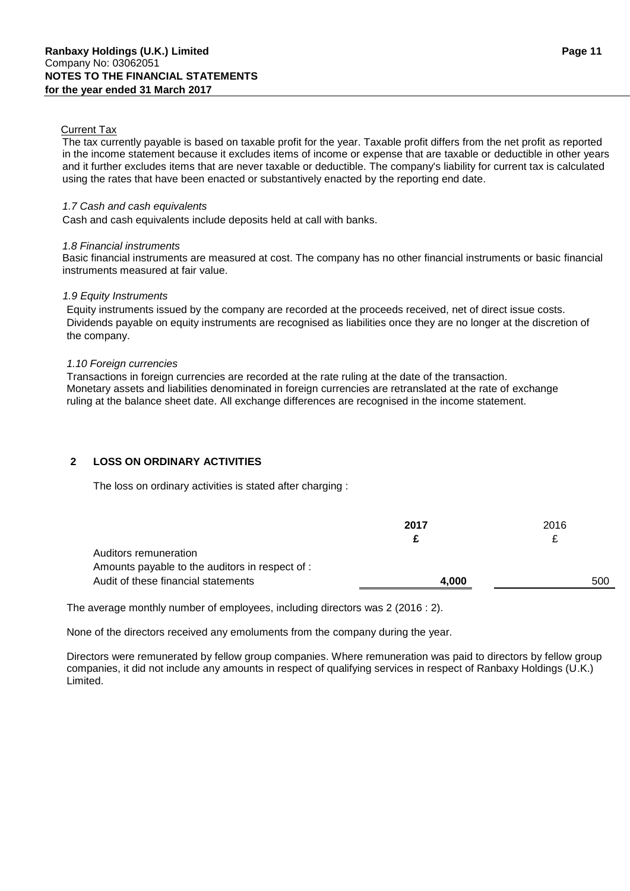#### Current Tax

The tax currently payable is based on taxable profit for the year. Taxable profit differs from the net profit as reported in the income statement because it excludes items of income or expense that are taxable or deductible in other years and it further excludes items that are never taxable or deductible. The company's liability for current tax is calculated using the rates that have been enacted or substantively enacted by the reporting end date.

#### *1.7 Cash and cash equivalents*

Cash and cash equivalents include deposits held at call with banks.

#### *1.8 Financial instruments*

Basic financial instruments are measured at cost. The company has no other financial instruments or basic financial instruments measured at fair value.

### *1.9 Equity Instruments*

Equity instruments issued by the company are recorded at the proceeds received, net of direct issue costs. Dividends payable on equity instruments are recognised as liabilities once they are no longer at the discretion of the company.

#### *1.10 Foreign currencies*

Transactions in foreign currencies are recorded at the rate ruling at the date of the transaction. Monetary assets and liabilities denominated in foreign currencies are retranslated at the rate of exchange ruling at the balance sheet date. All exchange differences are recognised in the income statement.

### **2 LOSS ON ORDINARY ACTIVITIES**

The loss on ordinary activities is stated after charging :

|                                                 | 2017  | 2016 |
|-------------------------------------------------|-------|------|
|                                                 |       |      |
| Auditors remuneration                           |       |      |
| Amounts payable to the auditors in respect of : |       |      |
| Audit of these financial statements             | 4.000 | 500  |

The average monthly number of employees, including directors was 2 (2016 : 2).

None of the directors received any emoluments from the company during the year.

Directors were remunerated by fellow group companies. Where remuneration was paid to directors by fellow group companies, it did not include any amounts in respect of qualifying services in respect of Ranbaxy Holdings (U.K.) Limited.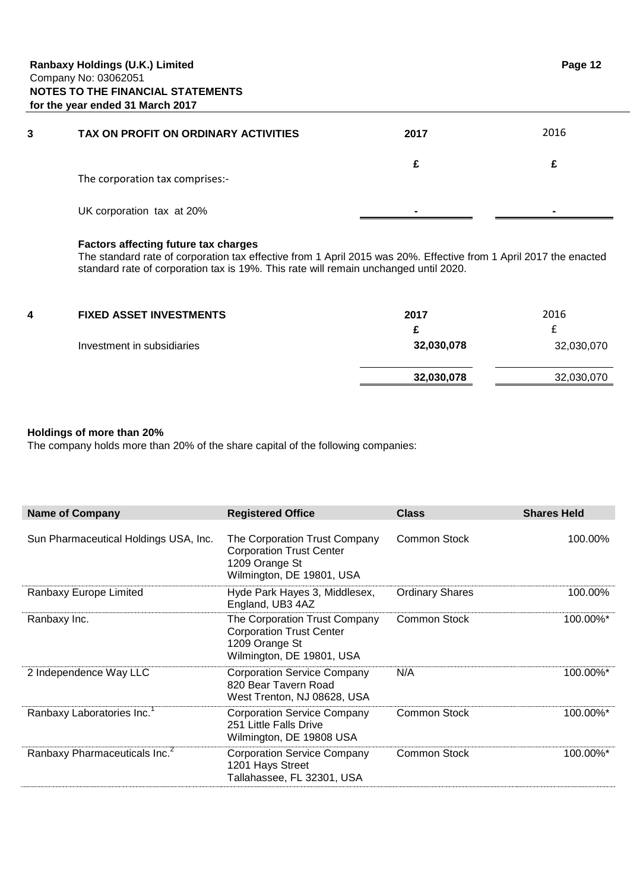| 3 | TAX ON PROFIT ON ORDINARY ACTIVITIES | 2017 | 2016 |
|---|--------------------------------------|------|------|
|   | The corporation tax comprises:-      | c    |      |
|   | UK corporation tax at 20%            |      |      |

# **Factors affecting future tax charges**

The standard rate of corporation tax effective from 1 April 2015 was 20%. Effective from 1 April 2017 the enacted standard rate of corporation tax is 19%. This rate will remain unchanged until 2020.

| <b>FIXED ASSET INVESTMENTS</b><br>4 | 2017       | 2016       |
|-------------------------------------|------------|------------|
|                                     |            |            |
| Investment in subsidiaries          | 32,030,078 | 32,030,070 |
|                                     | 32,030,078 | 32,030,070 |

### **Holdings of more than 20%**

The company holds more than 20% of the share capital of the following companies:

| <b>Name of Company</b>                    | <b>Registered Office</b>                                                                                        | <b>Class</b>           | <b>Shares Held</b> |
|-------------------------------------------|-----------------------------------------------------------------------------------------------------------------|------------------------|--------------------|
| Sun Pharmaceutical Holdings USA, Inc.     | The Corporation Trust Company<br><b>Corporation Trust Center</b><br>1209 Orange St<br>Wilmington, DE 19801, USA | <b>Common Stock</b>    | 100.00%            |
| Ranbaxy Europe Limited                    | Hyde Park Hayes 3, Middlesex,<br>England, UB3 4AZ                                                               | <b>Ordinary Shares</b> | 100.00%            |
| Ranbaxy Inc.                              | The Corporation Trust Company<br><b>Corporation Trust Center</b><br>1209 Orange St<br>Wilmington, DE 19801, USA | Common Stock           | 100.00%*           |
| 2 Independence Way LLC                    | <b>Corporation Service Company</b><br>820 Bear Tavern Road<br>West Trenton, NJ 08628, USA                       | N/A                    | 100.00%*           |
| Ranbaxy Laboratories Inc. <sup>1</sup>    | <b>Corporation Service Company</b><br>251 Little Falls Drive<br>Wilmington, DE 19808 USA                        | Common Stock           | 100.00%*           |
| Ranbaxy Pharmaceuticals Inc. <sup>2</sup> | <b>Corporation Service Company</b><br>1201 Hays Street<br>Tallahassee, FL 32301, USA                            | <b>Common Stock</b>    | 100.00%*           |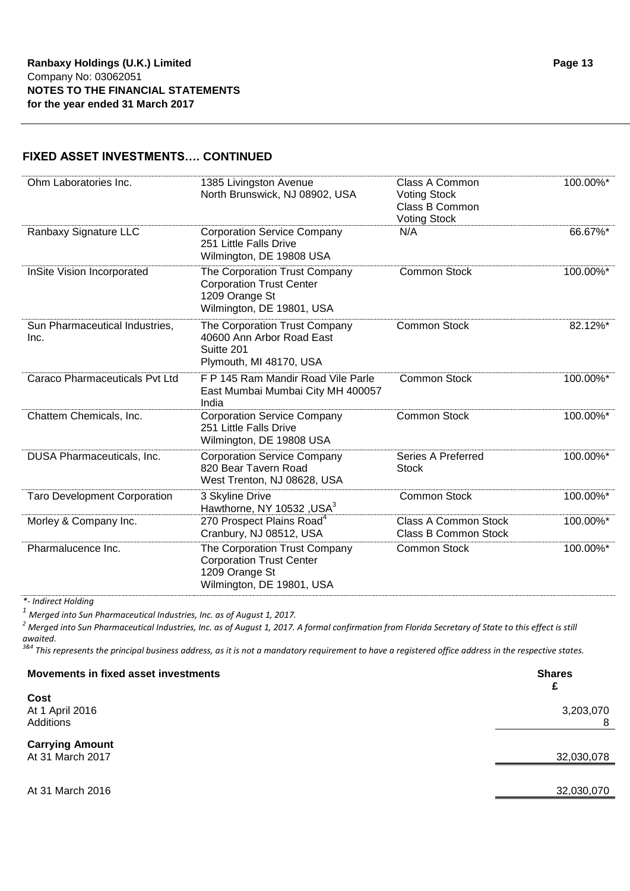# **FIXED ASSET INVESTMENTS…. CONTINUED**

| Ohm Laboratories Inc.                  | 1385 Livingston Avenue<br>North Brunswick, NJ 08902, USA                                                        | Class A Common<br><b>Voting Stock</b><br>Class B Common<br><b>Voting Stock</b> | 100.00%* |
|----------------------------------------|-----------------------------------------------------------------------------------------------------------------|--------------------------------------------------------------------------------|----------|
| Ranbaxy Signature LLC                  | <b>Corporation Service Company</b><br>251 Little Falls Drive<br>Wilmington, DE 19808 USA                        | N/A                                                                            | 66.67%*  |
| InSite Vision Incorporated             | The Corporation Trust Company<br><b>Corporation Trust Center</b><br>1209 Orange St<br>Wilmington, DE 19801, USA | <b>Common Stock</b>                                                            | 100.00%* |
| Sun Pharmaceutical Industries,<br>Inc. | The Corporation Trust Company<br>40600 Ann Arbor Road East<br>Suitte 201<br>Plymouth, MI 48170, USA             | <b>Common Stock</b>                                                            | 82.12%*  |
| Caraco Pharmaceuticals Pvt Ltd         | F P 145 Ram Mandir Road Vile Parle<br>East Mumbai Mumbai City MH 400057<br>India                                | Common Stock                                                                   | 100.00%* |
| Chattem Chemicals, Inc.                | <b>Corporation Service Company</b><br>251 Little Falls Drive<br>Wilmington, DE 19808 USA                        | <b>Common Stock</b>                                                            | 100.00%* |
| DUSA Pharmaceuticals, Inc.             | <b>Corporation Service Company</b><br>820 Bear Tavern Road<br>West Trenton, NJ 08628, USA                       | Series A Preferred<br><b>Stock</b>                                             | 100.00%* |
| <b>Taro Development Corporation</b>    | 3 Skyline Drive<br>Hawthorne, NY 10532, USA <sup>3</sup>                                                        | Common Stock                                                                   | 100.00%* |
| Morley & Company Inc.                  | 270 Prospect Plains Road <sup>4</sup><br>Cranbury, NJ 08512, USA                                                | <b>Class A Common Stock</b><br><b>Class B Common Stock</b>                     | 100.00%* |
| Pharmalucence Inc.                     | The Corporation Trust Company<br><b>Corporation Trust Center</b><br>1209 Orange St<br>Wilmington, DE 19801, USA | <b>Common Stock</b>                                                            | 100.00%* |

*\*- Indirect Holding*

*<sup>1</sup> Merged into Sun Pharmaceutical Industries, Inc. as of August 1, 2017.*

*<sup>2</sup> Merged into Sun Pharmaceutical Industries, Inc. as of August 1, 2017. A formal confirmation from Florida Secretary of State to this effect is still awaited.*

*3&4 This represents the principal business address, as it is not a mandatory requirement to have a registered office address in the respective states.*

| Movements in fixed asset investments       | <b>Shares</b><br>£ |
|--------------------------------------------|--------------------|
| Cost<br>At 1 April 2016<br>Additions       | 3,203,070<br>8     |
| <b>Carrying Amount</b><br>At 31 March 2017 | 32,030,078         |
| At 31 March 2016                           | 32,030,070         |